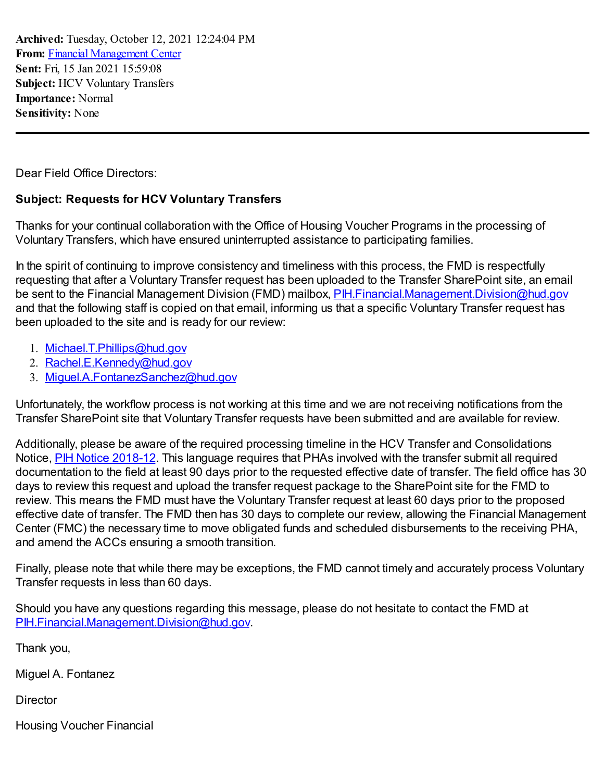**Archived:** Tuesday, October 12, 2021 12:24:04 PM **From:** Financial [Management](mailto:FinancialManagementCenter@hud.gov) Center **Sent:** Fri, 15 Jan 2021 15:59:08 **Subject:** HCV Voluntary Transfers **Importance:** Normal **Sensitivity:** None

Dear Field Office Directors:

## **Subject: Requests for HCV Voluntary Transfers**

Thanks for your continual collaboration with the Office of Housing Voucher Programs in the processing of Voluntary Transfers, which have ensured uninterrupted assistance to participating families.

In the spirit of continuing to improve consistency and timeliness with this process, the FMD is respectfully requesting that after a Voluntary Transfer request has been uploaded to the Transfer SharePoint site, an email be sent to the Financial Management Division (FMD) mailbox, PIH. Financial Management Division@hud.gov and that the following staff is copied on that email, informing us that a specific Voluntary Transfer request has been uploaded to the site and is ready for our review:

- 1. [Michael.T.Phillips@hud.gov](mailto:Michael.T.Phillips@hud.gov)
- 2. [Rachel.E.Kennedy@hud.gov](mailto:Rachel.E.Kennedy@hud.gov)
- 3. [Miguel.A.FontanezSanchez@hud.gov](mailto:Miguel.A.FontanezSanchez@hud.gov)

Unfortunately, the workflow process is not working at this time and we are not receiving notifications from the Transfer SharePoint site that Voluntary Transfer requests have been submitted and are available for review.

Additionally, please be aware of the required processing timeline in the HCV Transfer and Consolidations Notice, **PIH Notice [2018-12](https://www.hud.gov/sites/dfiles/PIH/documents/pih2018-12.pdf)**. This language requires that PHAs involved with the transfer submit all required documentation to the field at least 90 days prior to the requested effective date of transfer. The field office has 30 days to review this request and upload the transfer request package to the SharePoint site for the FMD to review. This means the FMD must have the Voluntary Transfer request at least 60 days prior to the proposed effective date of transfer. The FMD then has 30 days to complete our review, allowing the Financial Management Center (FMC) the necessary time to move obligated funds and scheduled disbursements to the receiving PHA, and amend the ACCs ensuring a smooth transition.

Finally, please note that while there may be exceptions, the FMD cannot timely and accurately process Voluntary Transfer requests in less than 60 days.

Should you have any questions regarding this message, please do not hesitate to contact the FMD at [PIH.Financial.Management.Division@hud.gov.](mailto:PIH.Financial.Management.Division@hud.gov)

Thank you,

Miguel A. Fontanez

**Director** 

Housing Voucher Financial